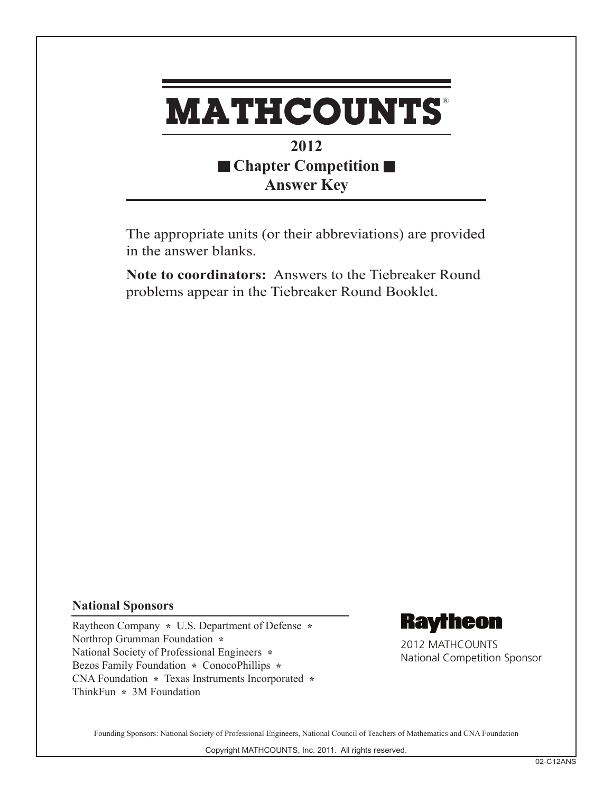

## **2012 Chapter Competition Answer Key**

The appropriate units (or their abbreviations) are provided in the answer blanks.

**Note to coordinators:** Answers to the Tiebreaker Round problems appear in the Tiebreaker Round Booklet.

## **National Sponsors**

Raytheon Company **\*** U.S. Department of Defense **\***  Northrop Grumman Foundation **\***  National Society of Professional Engineers **\***  Bezos Family Foundation **\*** ConocoPhillips **\***  CNA Foundation **\*** Texas Instruments Incorporated **\*** ThinkFun **\*** 3M Foundation



2012 MATHCOUNTS National Competition Sponsor

Founding Sponsors: National Society of Professional Engineers, National Council of Teachers of Mathematics and CNA Foundation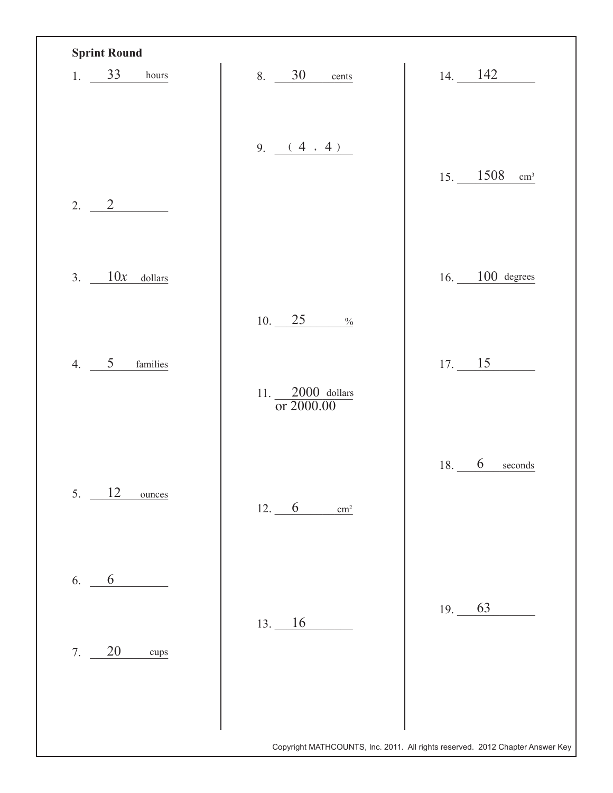| 1. $33$ hours      | 8. 30 cents                                                      | $14. \_ 142$                                      |
|--------------------|------------------------------------------------------------------|---------------------------------------------------|
| 2. 2               | 9. (4, 4)                                                        | $15. \underline{\hspace{1cm} 1508}$<br>$\rm cm^3$ |
| 3. $10x$ dollars   |                                                                  | 16. $100$ degrees                                 |
| 4. $5$<br>families | 10. 25<br>$\frac{0}{0}$<br>11. $\frac{2000}{\text{or } 2000.00}$ | 17. 15                                            |
| 12<br>5.<br>ounces | 12.6<br>$\text{cm}^2$                                            | 18. 6<br>seconds                                  |
| 6<br>6.            | 13. 16                                                           | 19. 63                                            |
| 20<br>7.<br>cups   |                                                                  |                                                   |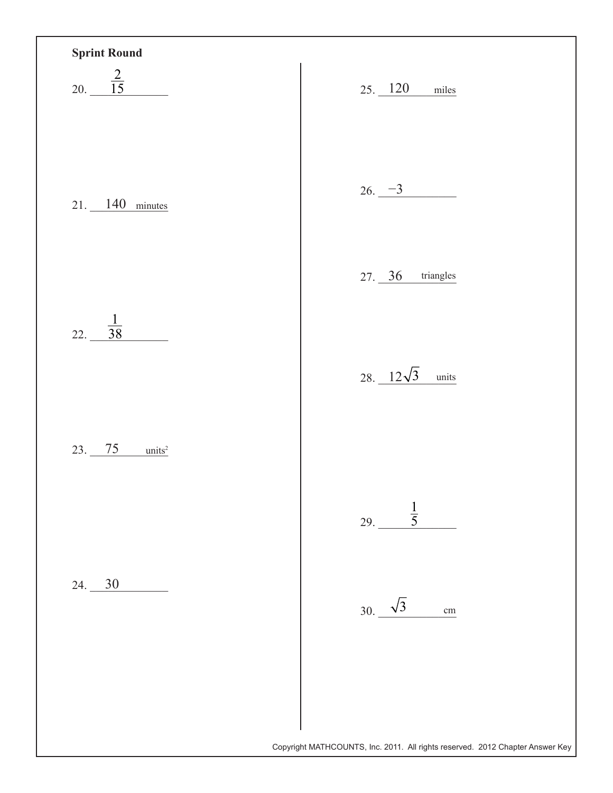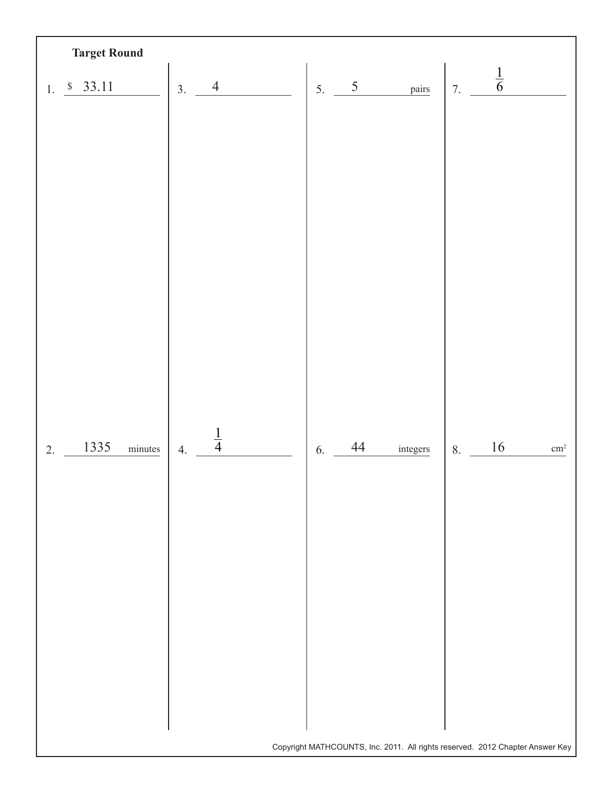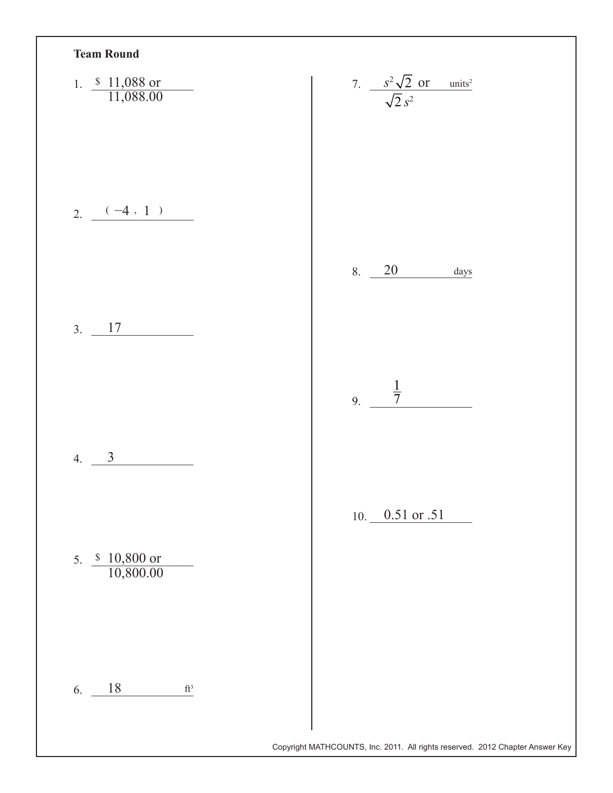| 1. $\frac{$11,088 \text{ or}}{11,088.00}$  | 7. $\frac{s^2\sqrt{2} \text{ or } \text{ units}^2}{\sqrt{2} s^2}$ |
|--------------------------------------------|-------------------------------------------------------------------|
| $2. - ( -4, 1)$                            | 8. 20<br>days                                                     |
| $3. \ 17$                                  | $\frac{1}{7}$                                                     |
| $\mathfrak{Z}$<br>4.                       | 9.                                                                |
| 5. $\frac{$10,800 \text{ or }}{10,800.00}$ | 10. $0.51$ or $.51$                                               |
| 6. $18$<br>$\mathrm{ft}^3$                 |                                                                   |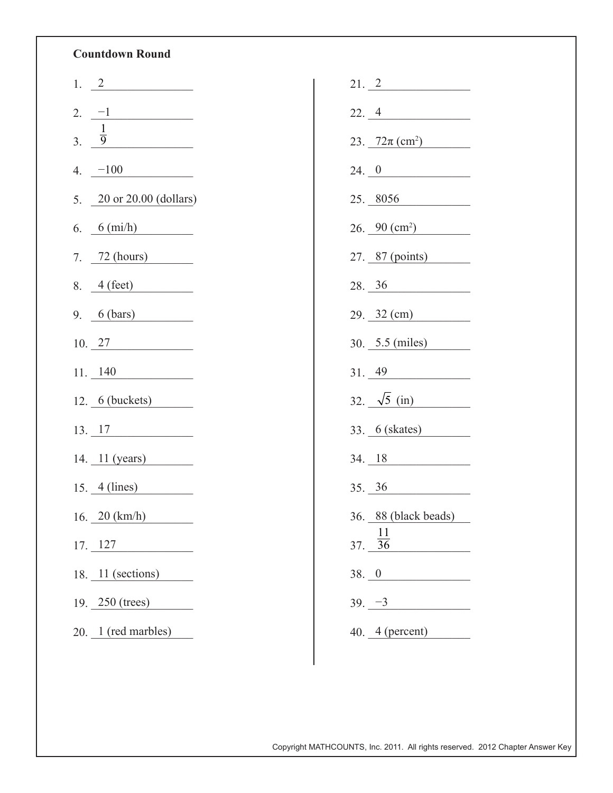## **Countdown Round**

|                  | 1. $2$                    |
|------------------|---------------------------|
|                  | 2. $-1$                   |
| $\overline{3}$ . | $\frac{1}{9}$             |
|                  | 4. $-100$                 |
|                  | 5. 20 or 20.00 (dollars)  |
|                  | 6. $6 \text{ (mi/h)}$     |
|                  | 7. $72 (hours)$           |
|                  | 8. $4 (feet)$             |
|                  | 9. $6 (bars)$             |
|                  | 10.27                     |
|                  |                           |
|                  | $11. \ \_140$             |
|                  | $12.6$ (buckets)          |
|                  | 13. 17                    |
|                  | 14. 11 (years)            |
|                  | $15.4$ (lines)            |
|                  | 16. $20$ (km/h)           |
|                  | $17. \_ 127$              |
|                  | 18. 11 (sections)         |
|                  | 19. $250 \text{ (trees)}$ |

|          | 21.2                                    |
|----------|-----------------------------------------|
| 22.4     |                                         |
|          | $23. \ \frac{72\pi \, \text{(cm}^2)}{}$ |
|          | 24.0                                    |
|          | $25. \underline{8056}$                  |
|          | $26. \frac{90 \text{ (cm}^2)}{}$        |
|          | 27. 87 (points)                         |
|          | 28.36                                   |
|          | $29. \underline{32 \text{ (cm)}}$       |
|          | $30.$ $5.5 \text{ (miles)}$             |
|          | 31.49                                   |
|          | 32. $\sqrt{5}$ (in)                     |
|          | 33. 6 (skates)                          |
|          | 34.18                                   |
|          | 35.36                                   |
|          | 36. 88 (black beads)                    |
|          | 37. $\frac{11}{36}$                     |
| 38. 0    |                                         |
| $39. -3$ |                                         |
|          | $40.4$ (percent)                        |

Copyright MATHCOUNTS, Inc. 2011. All rights reserved. 2012 Chapter Answer Key